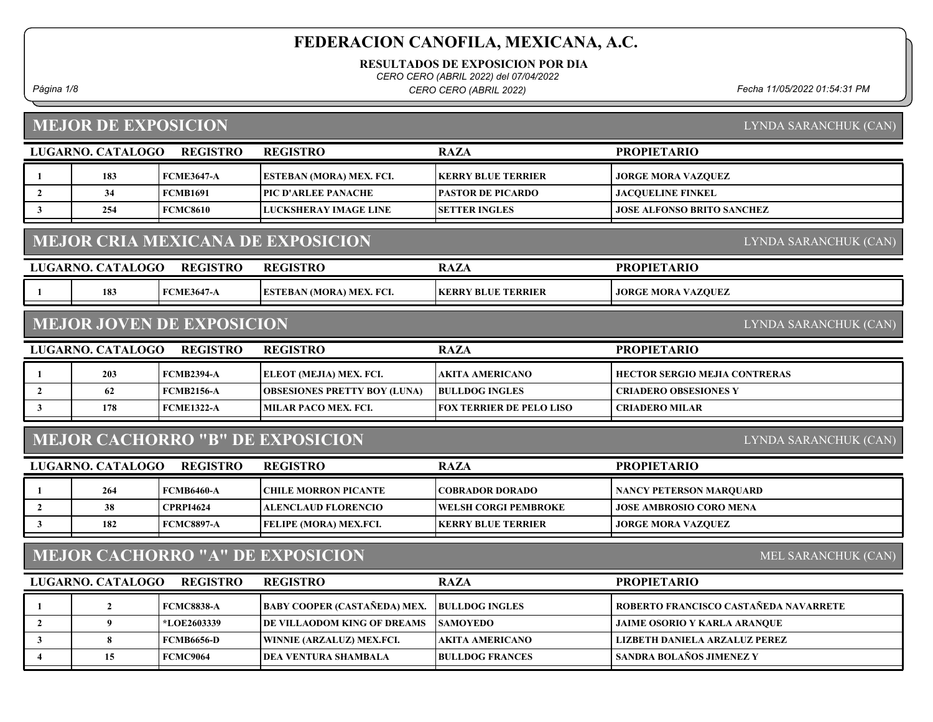RESULTADOS DE EXPOSICION POR DIA

CERO CERO (ABRIL 2022) del 07/04/2022

Página 1/8 Fecha 11/05/2022 01:54:31 PM CERO CERO (ABRIL 2022)

# MEJOR DE EXPOSICION

LYNDA SARANCHUK (CAN)

|                         | LUGARNO. CATALOGO | <b>REGISTRO</b>                  | <b>REGISTRO</b>                          | <b>RAZA</b>                     | <b>PROPIETARIO</b>                    |
|-------------------------|-------------------|----------------------------------|------------------------------------------|---------------------------------|---------------------------------------|
| -1                      | 183               | <b>FCME3647-A</b>                | ESTEBAN (MORA) MEX. FCI.                 | <b>KERRY BLUE TERRIER</b>       | <b>JORGE MORA VAZQUEZ</b>             |
| $\overline{2}$          | 34                | <b>FCMB1691</b>                  | PIC D'ARLEE PANACHE                      | <b>PASTOR DE PICARDO</b>        | <b>JACQUELINE FINKEL</b>              |
| 3                       | 254               | <b>FCMC8610</b>                  | <b>LUCKSHERAY IMAGE LINE</b>             | <b>SETTER INGLES</b>            | <b>JOSE ALFONSO BRITO SANCHEZ</b>     |
|                         |                   |                                  |                                          |                                 |                                       |
|                         |                   |                                  | <b>MEJOR CRIA MEXICANA DE EXPOSICION</b> |                                 | <b>LYNDA SARANCHUK (CAN)</b>          |
|                         | LUGARNO. CATALOGO | <b>REGISTRO</b>                  | <b>REGISTRO</b>                          | <b>RAZA</b>                     | <b>PROPIETARIO</b>                    |
| -1                      | 183               | <b>FCME3647-A</b>                | ESTEBAN (MORA) MEX. FCI.                 | <b>KERRY BLUE TERRIER</b>       | <b>JORGE MORA VAZQUEZ</b>             |
|                         |                   | <b>MEJOR JOVEN DE EXPOSICION</b> |                                          |                                 | LYNDA SARANCHUK (CAN)                 |
|                         |                   |                                  |                                          |                                 |                                       |
|                         | LUGARNO. CATALOGO | <b>REGISTRO</b>                  | <b>REGISTRO</b>                          | <b>RAZA</b>                     | <b>PROPIETARIO</b>                    |
|                         | 203               | <b>FCMB2394-A</b>                | ELEOT (MEJIA) MEX. FCI.                  | AKITA AMERICANO                 | <b>HECTOR SERGIO MEJIA CONTRERAS</b>  |
| $\overline{2}$          | 62                | <b>FCMB2156-A</b>                | <b>OBSESIONES PRETTY BOY (LUNA)</b>      | <b>BULLDOG INGLES</b>           | <b>CRIADERO OBSESIONES Y</b>          |
| 3                       | 178               | <b>FCME1322-A</b>                | <b>MILAR PACO MEX. FCI.</b>              | <b>FOX TERRIER DE PELO LISO</b> | <b>CRIADERO MILAR</b>                 |
|                         |                   |                                  | <b>MEJOR CACHORRO "B" DE EXPOSICION</b>  |                                 | LYNDA SARANCHUK (CAN)                 |
|                         | LUGARNO. CATALOGO | <b>REGISTRO</b>                  | <b>REGISTRO</b>                          | <b>RAZA</b>                     | <b>PROPIETARIO</b>                    |
|                         | 264               | <b>FCMB6460-A</b>                | <b>CHILE MORRON PICANTE</b>              | <b>COBRADOR DORADO</b>          | <b>NANCY PETERSON MARQUARD</b>        |
| $\overline{2}$          | 38                | <b>CPRPI4624</b>                 | <b>ALENCLAUD FLORENCIO</b>               | <b>WELSH CORGI PEMBROKE</b>     | <b>JOSE AMBROSIO CORO MENA</b>        |
| 3                       | 182               | <b>FCMC8897-A</b>                | FELIPE (MORA) MEX.FCI.                   | <b>KERRY BLUE TERRIER</b>       | <b>JORGE MORA VAZQUEZ</b>             |
|                         |                   |                                  | <b>MEJOR CACHORRO "A" DE EXPOSICION</b>  |                                 | MEL SARANCHUK (CAN)                   |
|                         | LUGARNO. CATALOGO | <b>REGISTRO</b>                  | <b>REGISTRO</b>                          | <b>RAZA</b>                     | <b>PROPIETARIO</b>                    |
| $\mathbf{1}$            | $\overline{2}$    | <b>FCMC8838-A</b>                | <b>BABY COOPER (CASTAÑEDA) MEX.</b>      | <b>BULLDOG INGLES</b>           | ROBERTO FRANCISCO CASTAÑEDA NAVARRETE |
| $\overline{2}$          | 9                 | *LOE2603339                      | DE VILLAODOM KING OF DREAMS              | <b>SAMOYEDO</b>                 | <b>JAIME OSORIO Y KARLA ARANQUE</b>   |
| $\overline{\mathbf{3}}$ | 8                 | <b>FCMB6656-D</b>                | WINNIE (ARZALUZ) MEX.FCI.                | <b>AKITA AMERICANO</b>          | LIZBETH DANIELA ARZALUZ PEREZ         |
| 4                       | 15                | <b>FCMC9064</b>                  | <b>DEA VENTURA SHAMBALA</b>              | <b>BULLDOG FRANCES</b>          | SANDRA BOLAÑOS JIMENEZ Y              |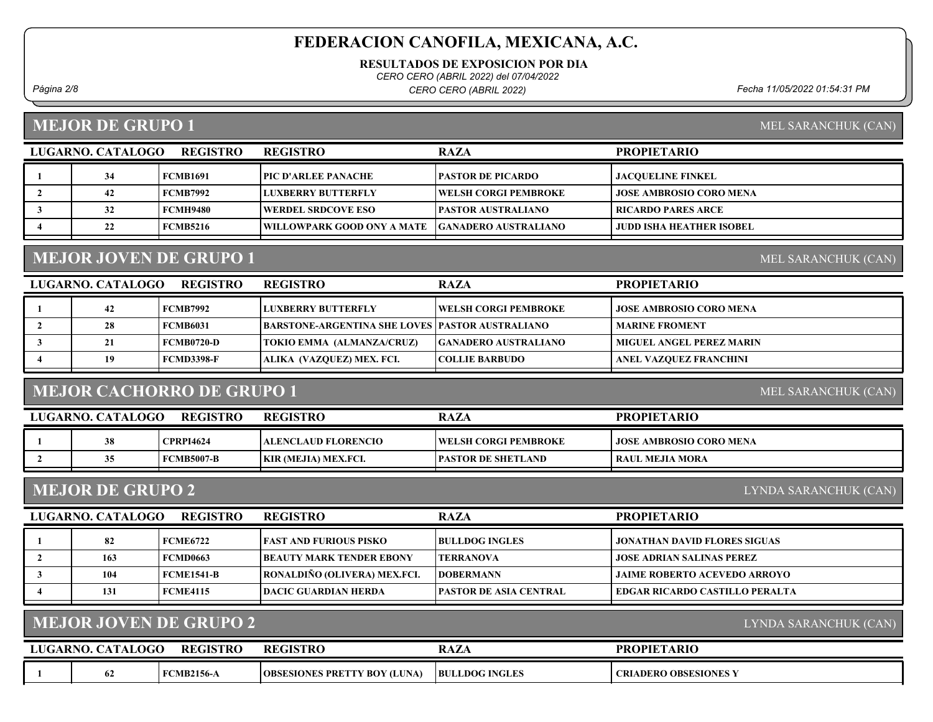RESULTADOS DE EXPOSICION POR DIA

CERO CERO (ABRIL 2022) del 07/04/2022

Página 2/8 Fecha 11/05/2022 01:54:31 PM CERO CERO (ABRIL 2022)

#### MEJOR DE GRUPO 1

MEL SARANCHUK (CAN)

MEL SARANCHUK (CAN)

| LUGARNO. CATALOGO | <b>REGISTRO</b> | <b>REGISTRO</b>                   | <b>RAZA</b>                  | <b>PROPIETARIO</b>       |
|-------------------|-----------------|-----------------------------------|------------------------------|--------------------------|
| 34                | FCMB1691        | PIC D'ARLEE PANACHE               | <b>PASTOR DE PICARDO</b>     | <b>IACOUELINE FINKEL</b> |
| 42                | FCMB7992        | LUXBERRY BUTTERFLY                | <b>TWELSH CORGI PEMBROKE</b> | JOSE AMBROSIO CORO MENA  |
| 32                | FCMH9480        | <b>  WERDEL SRDCOVE ESO</b>       | <b>PASTOR AUSTRALIANO</b>    | RICARDO PARES ARCE       |
| ∠∠                | FCMB5216        | <b>WILLOWPARK GOOD ONY A MATE</b> | <b>GANADERO AUSTRALIANO</b>  | JUDD ISHA HEATHER ISOBEL |

## MEJOR JOVEN DE GRUPO 1

LUGARNO. CATALOGO REGISTRO RAZA PROPIETARIO REGISTRO 1 42 FCMB7992 LUXBERRY BUTTERFLY JOSE AMBROSIO CORO MENA WELSH CORGI PEMBROKE 2 28 FCMB6031 BARSTONE-ARGENTINA SHE LOVES PASTOR AUSTRALIANO MARINE FROMENT 3 21 FCMB0720-D TOKIO EMMA (ALMANZA/CRUZ) GANADERO AUSTRALIANO MIGUEL ANGEL PEREZ MARIN 4 | 19 FCMD3398-F | ALIKA (VAZQUEZ) MEX. FCI. | COLLIE BARBUDO | ANEL VAZQUEZ FRANCHINI

### MEJOR CACHORRO DE GRUPO 1

MEL SARANCHUK (CAN)

| LUGARNO. CATALOGO | <b>REGISTRO</b>  | <b>REGISTRO</b>             | RAZA                         | <b>PROPIETARIO</b>        |
|-------------------|------------------|-----------------------------|------------------------------|---------------------------|
| 38                | <b>CPRPI4624</b> | ALENCLAUD FLORENCIO_        | <b>TWELSH CORGI PEMBROKE</b> | I JOSE AMBROSIO CORO MENA |
|                   | FCMB5007-B       | <b>KIR (MEJIA) MEX.FCI.</b> | <b>IPASTOR DE SHETLAND</b>   | RAUL MEJIA MORA           |

### MEJOR DE GRUPO 2

LYNDA SARANCHUK (CAN)

| LUGARNO. CATALOGO | <b>REGISTRO</b> | <b>REGISTRO</b>                  | <b>RAZA</b>                    | <b>PROPIETARIO</b>                    |
|-------------------|-----------------|----------------------------------|--------------------------------|---------------------------------------|
| 82                | FCME6722        | <b>FAST AND FURIOUS PISKO</b>    | <b>BULLDOG INGLES</b>          | JONATHAN DAVID FLORES SIGUAS          |
| 163               | FCMD0663        | <b>IBEAUTY MARK TENDER EBONY</b> | <b>TERRANOVA</b>               | JOSE ADRIAN SALINAS PEREZ             |
| 104               | FCME1541-B      | RONALDIÑO (OLIVERA) MEX.FCI.     | <b>IDOBERMANN</b>              | <b>JAIME ROBERTO ACEVEDO ARROYO</b>   |
| 131               | FCME4115        | <b>IDACIC GUARDIAN HERDA</b>     | <b>TPASTOR DE ASIA CENTRAL</b> | <b>EDGAR RICARDO CASTILLO PERALTA</b> |

#### MEJOR JOVEN DE GRUPO 2

LYNDA SARANCHUK (CAN)

| LUGARNO. CA | <b>. CATALOGO</b> | <b>REGISTRO</b>   | <b>REGISTRC</b>                                    | <b>RAZA</b>           | <b>PROPIETARIO</b>           |
|-------------|-------------------|-------------------|----------------------------------------------------|-----------------------|------------------------------|
|             | 04                | <b>FCMB2156-A</b> | <b>BOY (LUNA)</b><br><b>OBSESIONES PRET</b><br>"TY | <b>BULLDOG INGLES</b> | <b>CRIADERO OBSESIONES Y</b> |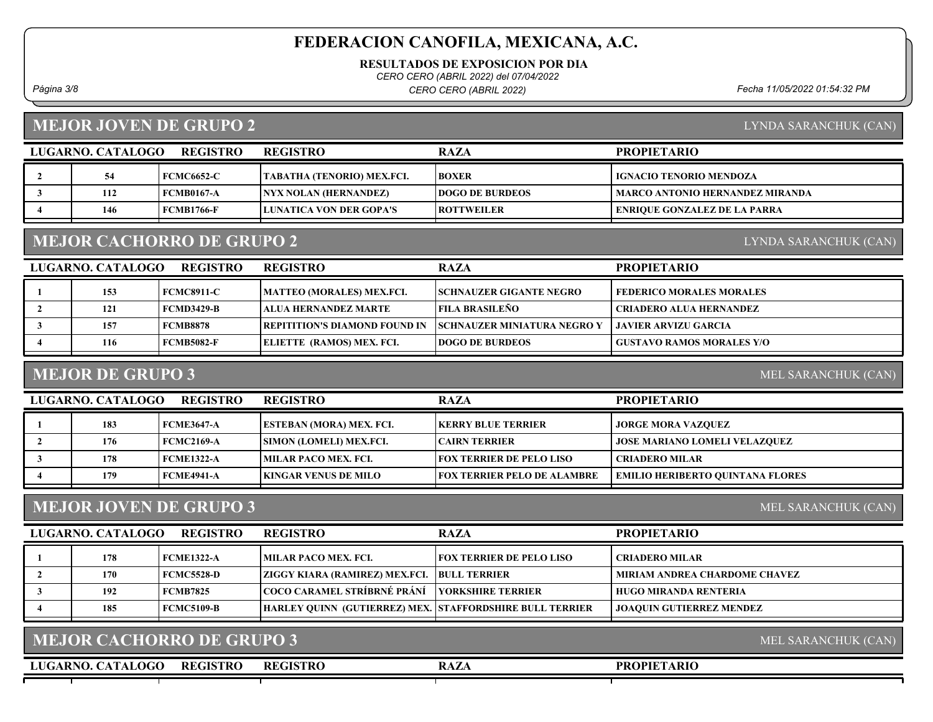RESULTADOS DE EXPOSICION POR DIA

CERO CERO (ABRIL 2022) del 07/04/2022

Página 3/8 Fecha 11/05/2022 01:54:32 PM CERO CERO (ABRIL 2022)

### MEJOR JOVEN DE GRUPO 2

| LYNDA SARANCHUK (CAN) |  |
|-----------------------|--|
|                       |  |

LYNDA SARANCHUK (CAN)

| LUGARNO. CATALOGO | <b>REGISTRO</b>   | <b>REGISTRO</b>                | <b>RAZA</b>            | <b>PROPIETARIO</b>                  |
|-------------------|-------------------|--------------------------------|------------------------|-------------------------------------|
|                   | <b>FCMC6652-C</b> | TABATHA (TENORIO) MEX.FCI.     | <b>BOXER</b>           | <b>IGNACIO TENORIO MENDOZA</b>      |
| 112               | FCMB0167-A        | <b>NYX NOLAN (HERNANDEZ)</b>   | <b>DOGO DE BURDEOS</b> | MARCO ANTONIO HERNANDEZ MIRANDA     |
| 146               | FCMB1766-F        | <b>LUNATICA VON DER GOPA'S</b> | <b>IROTTWEILER</b>     | <b>ENRIQUE GONZALEZ DE LA PARRA</b> |

#### MEJOR CACHORRO DE GRUPO 2

| LUGARNO. CATALOGO | <b>REGISTRO</b>   | <b>REGISTRO</b>                       | <b>RAZA</b>                        | <b>PROPIETARIO</b>               |
|-------------------|-------------------|---------------------------------------|------------------------------------|----------------------------------|
| 153               | <b>FCMC8911-C</b> | <b>MATTEO (MORALES) MEX.FCI.</b>      | <b>SCHNAUZER GIGANTE NEGRO</b>     | <b>FEDERICO MORALES MORALES</b>  |
| 121               | $FCMD3429-B$      | <b>LALUA HERNANDEZ MARTE</b>          | FILA BRASILEÑO                     | <b>CRIADERO ALUA HERNANDEZ</b>   |
| 157               | <b>FCMB8878</b>   | <b>TREPITITION'S DIAMOND FOUND IN</b> | <b>SCHNAUZER MINIATURA NEGRO Y</b> | JAVIER ARVIZU GARCIA             |
| 116               | FCMB5082-F        | <b>ELIETTE (RAMOS) MEX. FCI.</b>      | <b>DOGO DE BURDEOS</b>             | <b>GUSTAVO RAMOS MORALES Y/O</b> |
|                   |                   |                                       |                                    |                                  |

#### MEJOR DE GRUPO 3

MEL SARANCHUK (CAN)

| LUGARNO. CATALOGO | <b>REGISTRO</b>   | <b>REGISTRO</b>                 | <b>RAZA</b>                        | <b>PROPIETARIO</b>                   |
|-------------------|-------------------|---------------------------------|------------------------------------|--------------------------------------|
| 183               | <b>FCME3647-A</b> | <b>ESTEBAN (MORA) MEX. FCI.</b> | <b>IKERRY BLUE TERRIER</b>         | <b>JORGE MORA VAZQUEZ</b>            |
| 176               | FCMC2169-A        | <b>SIMON (LOMELI) MEX.FCI.</b>  | <b>ICAIRN TERRIER</b>              | <b>JOSE MARIANO LOMELI VELAZQUEZ</b> |
| 178               | <b>FCME1322-A</b> | <b>IMILAR PACO MEX. FCI.</b>    | <b>FOX TERRIER DE PELO LISO</b>    | <b>CRIADERO MILAR</b>                |
| 179               | <b>FCME4941-A</b> | <b>KINGAR VENUS DE MILO</b>     | <b>FOX TERRIER PELO DE ALAMBRE</b> | EMILIO HERIBERTO OUINTANA FLORES     |

#### MEJOR JOVEN DE GRUPO 3

MEL SARANCHUK (CAN)

MEL SARANCHUK (CAN)

| LUGARNO. CATALOGO | REGISTRO          | <b>REGISTRO</b>                                                 | <b>RAZA</b>                     | <b>PROPIETARIO</b>              |
|-------------------|-------------------|-----------------------------------------------------------------|---------------------------------|---------------------------------|
| 178               | <b>FCME1322-A</b> | <b>MILAR PACO MEX. FCI.</b>                                     | <b>FOX TERRIER DE PELO LISO</b> | CRIADERO MILAR_                 |
| 170               | FCMC5528-D        | <b>ZIGGY KIARA (RAMIREZ) MEX.FCI. BULL TERRIER</b>              |                                 | MIRIAM ANDREA CHARDOME CHAVEZ   |
| 192               | <b>FCMB7825</b>   | COCO CARAMEL STRÍBRNÉ PRÁNÍ                                     | <b>TYORKSHIRE TERRIER</b>       | HUGO MIRANDA RENTERIA           |
| 185               | FCMC5109-B        | <b>HARLEY QUINN (GUTIERREZ) MEX. STAFFORDSHIRE BULL TERRIER</b> |                                 | <b>JOAQUIN GUTIERREZ MENDEZ</b> |

#### MEJOR CACHORRO DE GRUPO 3

LUGARNO. CATALOGO REGISTRO REGISTRO NAZA REGISTRO

#### PROPIETARIO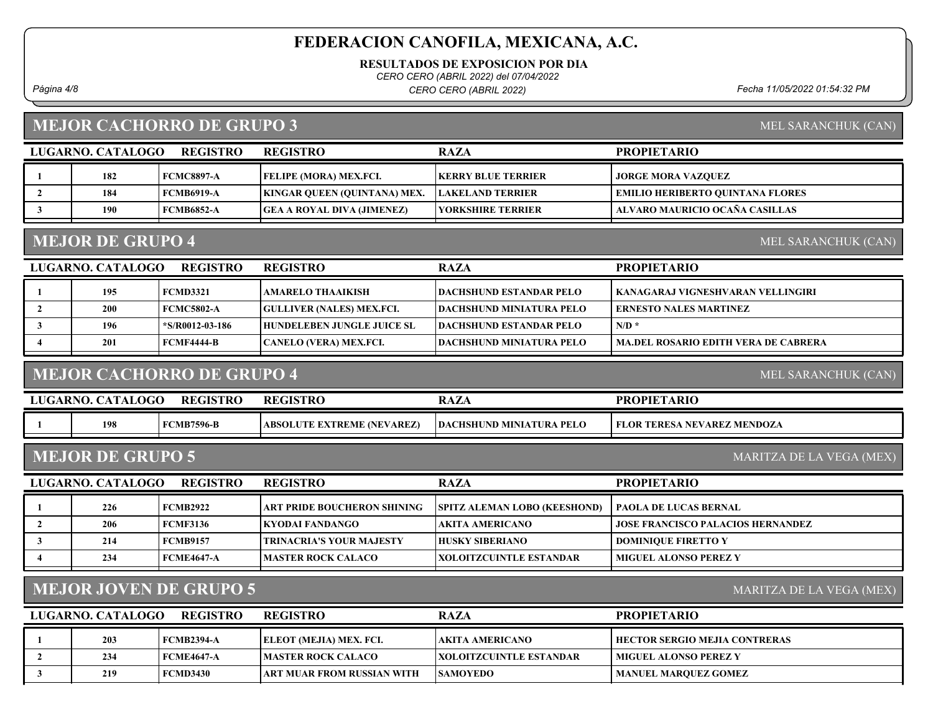RESULTADOS DE EXPOSICION POR DIA

CERO CERO (ABRIL 2022) del 07/04/2022

Página 4/8 Fecha 11/05/2022 01:54:32 PM CERO CERO (ABRIL 2022)

### MEJOR CACHORRO DE GRUPO 3

| MEL SARANCHUK (CAN) |  |
|---------------------|--|
|                     |  |

| LUGARNO. CATALOGO<br><b>REGISTRO</b> |     |                   | <b>REGISTRO</b>                     | <b>RAZA</b>             | <b>PROPIETARIO</b>                      |
|--------------------------------------|-----|-------------------|-------------------------------------|-------------------------|-----------------------------------------|
|                                      | 182 | <b>FCMC8897-A</b> | <b>FELIPE (MORA) MEX.FCI.</b>       | KERRY BLUE TERRIER      | <b>JORGE MORA VAZQUEZ</b>               |
|                                      | 184 | <b>FCMB6919-A</b> | <b>KINGAR QUEEN (QUINTANA) MEX.</b> | <b>LAKELAND TERRIER</b> | <b>EMILIO HERIBERTO QUINTANA FLORES</b> |
|                                      | 190 | <b>FCMB6852-A</b> | <b>GEA A ROYAL DIVA (JIMENEZ)</b>   | YORKSHIRE TERRIER       | ALVARO MAURICIO OCAÑA CASILLAS          |
|                                      |     |                   |                                     |                         |                                         |

#### MEJOR DE GRUPO 4

MEL SARANCHUK (CAN)

| LUGARNO. CATALOGO | <b>REGISTRO</b>    | <b>REGISTRO</b>                   | <b>RAZA</b>                      | <b>PROPIETARIO</b>                          |
|-------------------|--------------------|-----------------------------------|----------------------------------|---------------------------------------------|
| 195               | FCMD3321           | AMARELO THAAIKISH                 | <b>DACHSHUND ESTANDAR PELO</b>   | KANAGARAJ VIGNESHVARAN VELLINGIRI           |
| 200               | <b>FCMC5802-A</b>  | <b>GULLIVER (NALES) MEX.FCI.</b>  | <b>DACHSHUND MINIATURA PELO</b>  | <b>ERNESTO NALES MARTINEZ</b>               |
| 196               | $*$ S/R0012-03-186 | <b>HUNDELEBEN JUNGLE JUICE SL</b> | <b>DACHSHUND ESTANDAR PELO</b>   | $N/D$ *                                     |
| 201               | FCMF4444-B         | CANELO (VERA) MEX.FCI.            | <b> DACHSHUND MINIATURA PELO</b> | <b>MA.DEL ROSARIO EDITH VERA DE CABRERA</b> |

### MEJOR CACHORRO DE GRUPO 4

MEL SARANCHUK (CAN)

| LUGARNO. CATALOGO | <b>REGISTRO</b>   | <b>REGISTRO</b>            | $\overline{ }$<br>RAZA          | <b>PROPIETARIO</b>                 |
|-------------------|-------------------|----------------------------|---------------------------------|------------------------------------|
| 198               | <b>FCMB7596-B</b> | ABSOLUTE EXTREME (NEVAREZ) | <b>DACHSHUND MINIATURA PELO</b> | <b>FLOR TERESA NEVAREZ MENDOZA</b> |

| <b>MEJOR DE GRUPO 5</b> |  |  |
|-------------------------|--|--|
|-------------------------|--|--|

MARITZA DE LA VEGA (MEX)

| LUGARNO. CATALOGO | <b>REGISTRO</b> | <b>REGISTRO</b>                    | <b>RAZA</b>                         | <b>PROPIETARIO</b>                       |
|-------------------|-----------------|------------------------------------|-------------------------------------|------------------------------------------|
| 226               | FCMB2922        | <b>ART PRIDE BOUCHERON SHINING</b> | <b>SPITZ ALEMAN LOBO (KEESHOND)</b> | PAOLA DE LUCAS BERNAL                    |
| 206               | <b>FCMF3136</b> | KYODAI FANDANGO_                   | AKITA AMERICANO_                    | <b>JOSE FRANCISCO PALACIOS HERNANDEZ</b> |
| 214               | FCMB9157        | TRINACRIA'S YOUR MAJESTY           | <b>HUSKY SIBERIANO</b>              | <b>DOMINIOUE FIRETTO Y</b>               |
| 234               | FCME4647-A      | IMASTER ROCK CALACO-               | XOLOITZCUINTLE ESTANDAR             | <b>MIGUEL ALONSO PEREZ Y</b>             |

### MEJOR JOVEN DE GRUPO 5

MARITZA DE LA VEGA (MEX)

| LUGARNO, CATALOGO | <b>REGISTRO</b>   | <b>REGISTRO</b>                | <b>RAZA</b>                     | <b>PROPIETARIO</b>            |
|-------------------|-------------------|--------------------------------|---------------------------------|-------------------------------|
| 203               | <b>FCMB2394-A</b> | <b>ELEOT (MEJIA) MEX. FCI.</b> | AKITA AMERICANO                 | HECTOR SERGIO MEJIA CONTRERAS |
| 234               | <b>FCME4647-A</b> | <b> MASTER ROCK CALACO_</b>    | <b>IXOLOITZCUINTLE ESTANDAR</b> | <b>MIGUEL ALONSO PEREZ Y</b>  |
| 219               | <b>FCMD3430</b>   | ART MUAR FROM RUSSIAN WITH     | <b>ISAMOYEDO</b>                | <b>MANUEL MAROUEZ GOMEZ</b>   |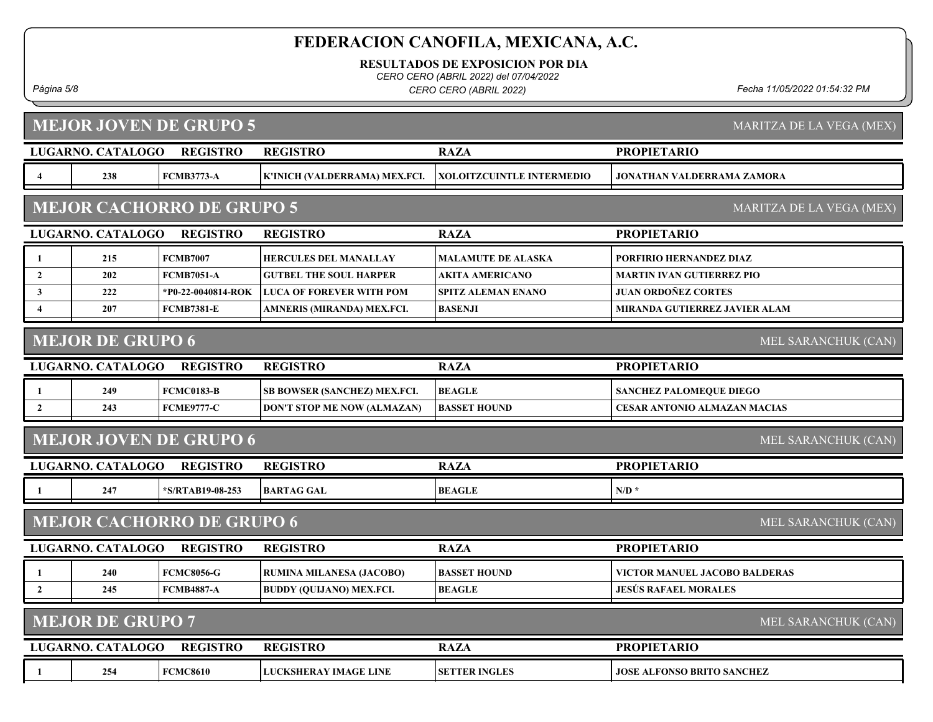RESULTADOS DE EXPOSICION POR DIA

CERO CERO (ABRIL 2022) del 07/04/2022

Página 5/8 Fecha 11/05/2022 01:54:32 PM CERO CERO (ABRIL 2022)

MARITZA DE LA VEGA (MEX)

╘

### MEJOR JOVEN DE GRUPO 5

|                         | LUGARNO. CATALOGO        | <b>REGISTRO</b>                  | <b>REGISTRO</b>                    | <b>RAZA</b>               | <b>PROPIETARIO</b>                  |
|-------------------------|--------------------------|----------------------------------|------------------------------------|---------------------------|-------------------------------------|
| 4                       | 238                      | <b>FCMB3773-A</b>                | K'INICH (VALDERRAMA) MEX.FCI.      | XOLOITZCUINTLE INTERMEDIO | <b>JONATHAN VALDERRAMA ZAMORA</b>   |
|                         |                          | <b>MEJOR CACHORRO DE GRUPO 5</b> |                                    |                           | MARITZA DE LA VEGA (MEX)            |
|                         | <b>LUGARNO. CATALOGO</b> | <b>REGISTRO</b>                  | <b>REGISTRO</b>                    | <b>RAZA</b>               | <b>PROPIETARIO</b>                  |
| -1                      | 215                      | <b>FCMB7007</b>                  | <b>HERCULES DEL MANALLAY</b>       | MALAMUTE DE ALASKA        | PORFIRIO HERNANDEZ DIAZ             |
| $\overline{2}$          | 202                      | <b>FCMB7051-A</b>                | <b>GUTBEL THE SOUL HARPER</b>      | <b>AKITA AMERICANO</b>    | <b>MARTIN IVAN GUTIERREZ PIO</b>    |
| $\mathbf{3}$            | 222                      | *P0-22-0040814-ROK               | <b>LUCA OF FOREVER WITH POM</b>    | <b>SPITZ ALEMAN ENANO</b> | <b>JUAN ORDOÑEZ CORTES</b>          |
| $\overline{\mathbf{4}}$ | 207                      | <b>FCMB7381-E</b>                | AMNERIS (MIRANDA) MEX.FCI.         | <b>BASENJI</b>            | MIRANDA GUTIERREZ JAVIER ALAM       |
|                         | <b>MEJOR DE GRUPO 6</b>  |                                  |                                    |                           | MEL SARANCHUK (CAN)                 |
|                         | LUGARNO. CATALOGO        | <b>REGISTRO</b>                  | <b>REGISTRO</b>                    | <b>RAZA</b>               | <b>PROPIETARIO</b>                  |
| -1                      | 249                      | <b>FCMC0183-B</b>                | SB BOWSER (SANCHEZ) MEX.FCI.       | <b>BEAGLE</b>             | <b>SANCHEZ PALOMEQUE DIEGO</b>      |
| $\overline{2}$          | 243                      | <b>FCME9777-C</b>                | <b>DON'T STOP ME NOW (ALMAZAN)</b> | <b>BASSET HOUND</b>       | <b>CESAR ANTONIO ALMAZAN MACIAS</b> |
|                         |                          | <b>MEJOR JOVEN DE GRUPO 6</b>    |                                    |                           | MEL SARANCHUK (CAN)                 |
|                         | LUGARNO. CATALOGO        | <b>REGISTRO</b>                  | <b>REGISTRO</b>                    | <b>RAZA</b>               | <b>PROPIETARIO</b>                  |
| -1                      | 247                      | *S/RTAB19-08-253                 | <b>BARTAG GAL</b>                  | BEAGLE                    | $N/D$ *                             |
|                         |                          | <b>MEJOR CACHORRO DE GRUPO 6</b> |                                    |                           | MEL SARANCHUK (CAN)                 |
|                         | <b>LUGARNO. CATALOGO</b> | <b>REGISTRO</b>                  | <b>REGISTRO</b>                    | <b>RAZA</b>               | <b>PROPIETARIO</b>                  |
| -1                      | 240                      | <b>FCMC8056-G</b>                | RUMINA MILANESA (JACOBO)           | <b>BASSET HOUND</b>       | VICTOR MANUEL JACOBO BALDERAS       |
| $\overline{2}$          | 245                      | <b>FCMB4887-A</b>                | <b>BUDDY (QUIJANO) MEX.FCI.</b>    | <b>BEAGLE</b>             | <b>JESÚS RAFAEL MORALES</b>         |
|                         | <b>MEJOR DE GRUPO 7</b>  |                                  |                                    |                           | MEL SARANCHUK (CAN)                 |
|                         | <b>LUGARNO. CATALOGO</b> | <b>REGISTRO</b>                  | <b>REGISTRO</b>                    | <b>RAZA</b>               | <b>PROPIETARIO</b>                  |

1 254 FCMC8610 LUCKSHERAY IMAGE LINE SETTER INGLES JOSE ALFONSO BRITO SANCHEZ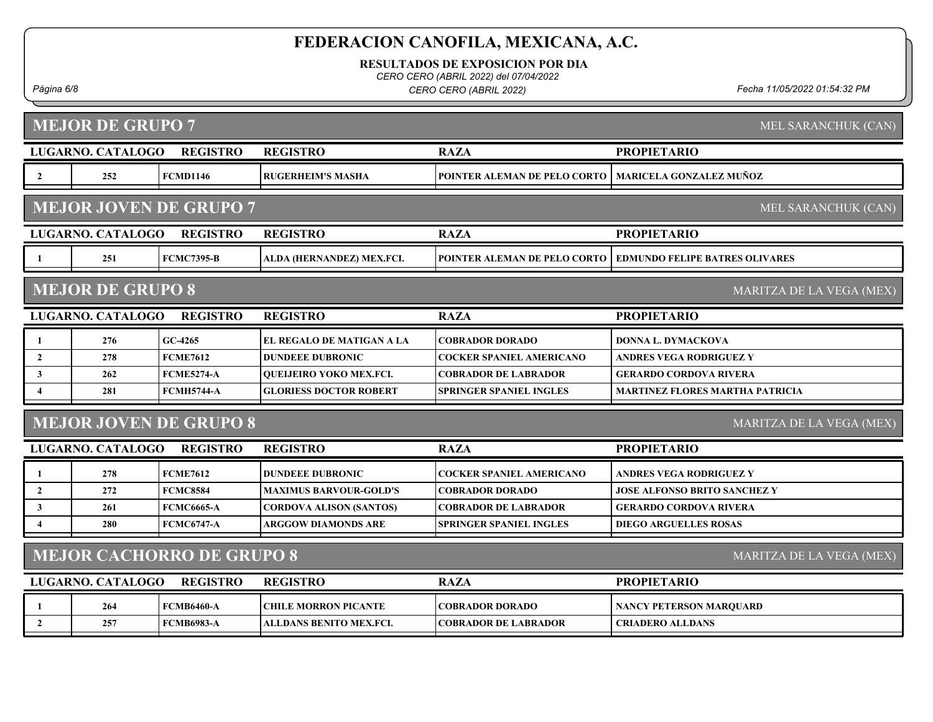RESULTADOS DE EXPOSICION POR DIA

CERO CERO (ABRIL 2022) del 07/04/2022

Página 6/8 Fecha 11/05/2022 01:54:32 PM CERO CERO (ABRIL 2022)

### MEJOR DE GRUPO 7

|                                                              | LUGARNO. CATALOGO       | <b>REGISTRO</b>               | <b>REGISTRO</b>                | <b>RAZA</b>                     | <b>PROPIETARIO</b>                     |  |
|--------------------------------------------------------------|-------------------------|-------------------------------|--------------------------------|---------------------------------|----------------------------------------|--|
| $\overline{\mathbf{2}}$                                      | 252                     | <b>FCMD1146</b>               | <b>RUGERHEIM'S MASHA</b>       | POINTER ALEMAN DE PELO CORTO    | <b>MARICELA GONZALEZ MUÑOZ</b>         |  |
|                                                              |                         | <b>MEJOR JOVEN DE GRUPO 7</b> |                                |                                 | MEL SARANCHUK (CAN)                    |  |
|                                                              | LUGARNO. CATALOGO       | <b>REGISTRO</b>               | <b>REGISTRO</b>                | <b>RAZA</b>                     | <b>PROPIETARIO</b>                     |  |
| - 1                                                          | 251                     | <b>FCMC7395-B</b>             | ALDA (HERNANDEZ) MEX.FCI.      | POINTER ALEMAN DE PELO CORTO    | <b>EDMUNDO FELIPE BATRES OLIVARES</b>  |  |
|                                                              | <b>MEJOR DE GRUPO 8</b> |                               |                                |                                 | MARITZA DE LA VEGA (MEX)               |  |
|                                                              | LUGARNO. CATALOGO       | <b>REGISTRO</b>               | <b>REGISTRO</b>                | <b>RAZA</b>                     | <b>PROPIETARIO</b>                     |  |
| - 1                                                          | 276                     | $GC-4265$                     | EL REGALO DE MATIGAN A LA      | <b>COBRADOR DORADO</b>          | DONNA L. DYMACKOVA                     |  |
| $\overline{2}$                                               | 278                     | <b>FCME7612</b>               | <b>DUNDEEE DUBRONIC</b>        | <b>COCKER SPANIEL AMERICANO</b> | <b>ANDRES VEGA RODRIGUEZ Y</b>         |  |
| $\mathbf{3}$                                                 | 262                     | <b>FCME5274-A</b>             | <b>OUEIJEIRO YOKO MEX.FCI.</b> | <b>COBRADOR DE LABRADOR</b>     | <b>GERARDO CORDOVA RIVERA</b>          |  |
| $\overline{4}$                                               | 281                     | <b>FCMH5744-A</b>             | <b>GLORIESS DOCTOR ROBERT</b>  | <b>SPRINGER SPANIEL INGLES</b>  | <b>MARTINEZ FLORES MARTHA PATRICIA</b> |  |
|                                                              |                         | <b>MEJOR JOVEN DE GRUPO 8</b> |                                |                                 | MARITZA DE LA VEGA (MEX)               |  |
|                                                              | LUGARNO. CATALOGO       | <b>REGISTRO</b>               | <b>REGISTRO</b>                | <b>RAZA</b>                     | <b>PROPIETARIO</b>                     |  |
| -1                                                           | 278                     | <b>FCME7612</b>               | <b>DUNDEEE DUBRONIC</b>        | <b>COCKER SPANIEL AMERICANO</b> | ANDRES VEGA RODRIGUEZ Y                |  |
| $\overline{2}$                                               | 272                     | <b>FCMC8584</b>               | <b>MAXIMUS BARVOUR-GOLD'S</b>  | <b>COBRADOR DORADO</b>          | <b>JOSE ALFONSO BRITO SANCHEZ Y</b>    |  |
| $\mathbf{3}$                                                 | 261                     | <b>FCMC6665-A</b>             | <b>CORDOVA ALISON (SANTOS)</b> | <b>COBRADOR DE LABRADOR</b>     | <b>GERARDO CORDOVA RIVERA</b>          |  |
| $\overline{4}$                                               | 280                     | <b>FCMC6747-A</b>             | <b>ARGGOW DIAMONDS ARE</b>     | <b>SPRINGER SPANIEL INGLES</b>  | <b>DIEGO ARGUELLES ROSAS</b>           |  |
|                                                              |                         |                               |                                |                                 |                                        |  |
| <b>MEJOR CACHORRO DE GRUPO 8</b><br>MARITZA DE LA VEGA (MEX) |                         |                               |                                |                                 |                                        |  |
|                                                              | LUGARNO. CATALOGO       | <b>REGISTRO</b>               | <b>REGISTRO</b>                | <b>RAZA</b>                     | <b>PROPIETARIO</b>                     |  |
| -1                                                           | 264                     | <b>FCMB6460-A</b>             | <b>CHILE MORRON PICANTE</b>    | <b>COBRADOR DORADO</b>          | <b>NANCY PETERSON MARQUARD</b>         |  |
| $\overline{2}$                                               | 257                     | <b>FCMB6983-A</b>             | ALLDANS BENITO MEX.FCI.        | <b>COBRADOR DE LABRADOR</b>     | <b>CRIADERO ALLDANS</b>                |  |

MEL SARANCHUK (CAN)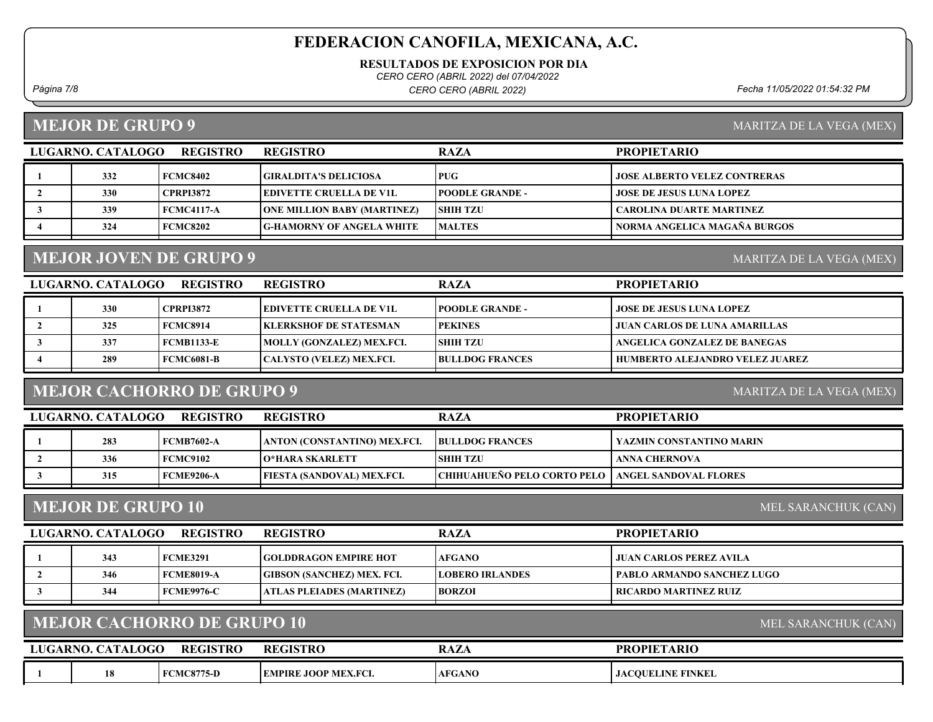RESULTADOS DE EXPOSICION POR DIA

CERO CERO (ABRIL 2022) del 07/04/2022

Página 7/8 Fecha 11/05/2022 01:54:32 PM CERO CERO (ABRIL 2022)

#### MEJOR DE GRUPO 9

| MARITZA DE LA VEGA (MEX) |  |  |
|--------------------------|--|--|
|                          |  |  |

| LUGARNO. CATALOGO | <b>REGISTRO</b>  | <b>REGISTRO</b>                    | <b>RAZA</b>            | <b>PROPIETARIO</b>                  |
|-------------------|------------------|------------------------------------|------------------------|-------------------------------------|
| 332               | FCMC8402         | GIRALDITA'S DELICIOSA_             | <b>PUG</b>             | <b>JOSE ALBERTO VELEZ CONTRERAS</b> |
| 330               | <b>CPRPI3872</b> | EDIVETTE CRUELLA DE V1L            | <b>POODLE GRANDE -</b> | <b>JOSE DE JESUS LUNA LOPEZ</b>     |
| 339               | FCMC4117-A       | <b>ONE MILLION BABY (MARTINEZ)</b> | <b>SHIH TZU</b>        | <b>CAROLINA DUARTE MARTINEZ</b>     |
| 324               | FCMC8202         | G-HAMORNY OF ANGELA WHITE          | <b>MALTES</b>          | NORMA ANGELICA MAGAÑA BURGOS        |

### MEJOR JOVEN DE GRUPO 9

LUGARNO. CATALOGO REGISTRO REGISTRO RAZA PROPIETARIO 1 330 CPRPI3872 EDIVETTE CRUELLA DE V1L POODLE GRANDE - JOSE DE JESUS LUNA LOPEZ 2 325 FCMC8914 KLERKSHOF DE STATESMAN PEKINES JUAN CARLOS DE LUNA AMARILLAS 337 FCMB1133-E MOLLY (GONZALEZ) MEX.FCI. SHIH TZU ANGELICA GONZALEZ DE BANEGAS 4 289 FCMC6081-B CALYSTO (VELEZ) MEX.FCI. BULLDOG FRANCES HUMBERTO ALEJANDRO VELEZ JUAREZ

#### MEJOR CACHORRO DE GRUPO 9

MARITZA DE LA VEGA (MEX)

MARITZA DE LA VEGA (MEX)

| LUGARNO, CATALOGO | REGISTRO        | <b>REGISTRO</b>                   | <b>RAZA</b>                                                | <b>PROPIETARIO</b>       |
|-------------------|-----------------|-----------------------------------|------------------------------------------------------------|--------------------------|
| 283               | FCMB7602-A      | LANTON (CONSTANTINO) MEX.FCI.     | <b>BULLDOG FRANCES</b>                                     | YAZMIN CONSTANTINO MARIN |
| 336               | <b>FCMC9102</b> | <b>O*HARA SKARLETT</b>            | <b>ISHIH TZU</b>                                           | ANNA CHERNOVA            |
| 315               | FCME9206-A      | <b>FIESTA (SANDOVAL) MEX.FCI.</b> | <b>CHIHUAHUENO PELO CORTO PELO   ANGEL SANDOVAL FLORES</b> |                          |

#### MEJOR DE GRUPO 10

MEL SARANCHUK (CAN)

MEL SARANCHUK (CAN)

| LUGARNO. CATALOGO | <b>REGISTRO</b>   | <b>REGISTRO</b>                   | <b>RAZA</b>            | <b>PROPIETARIO</b>                |
|-------------------|-------------------|-----------------------------------|------------------------|-----------------------------------|
| 343               | <b>FCME3291</b>   | <b>GOLDDRAGON EMPIRE HOT</b>      | <b>AFGANO</b>          | JUAN CARLOS PEREZ AVILA           |
| 346               | FCME8019-A        | <b>GIBSON (SANCHEZ) MEX. FCI.</b> | <b>LOBERO IRLANDES</b> | <b>PABLO ARMANDO SANCHEZ LUGO</b> |
| 344               | <b>FCME9976-C</b> | ATLAS PLEIADES (MARTINEZ)         | <b>BORZOI</b>          | RICARDO MARTINEZ RUIZ             |
|                   |                   |                                   |                        |                                   |

#### MEJOR CACHORRO DE GRUPO 10

| ARNO.<br>LUG. | <b>\TALOGO</b> | <b>REGISTRO</b>  | $R_{\rm E}$<br><b>:GISTRO</b> | <b>RAZA</b>   | <b>PROPIETARIO</b>     |
|---------------|----------------|------------------|-------------------------------|---------------|------------------------|
|               | 18             | <b>CMC8775-D</b> | <b>EMPIRE JOOP MEX.FCI.</b>   | <b>AFGANO</b> | CQUELINE FINKEL<br>JAC |